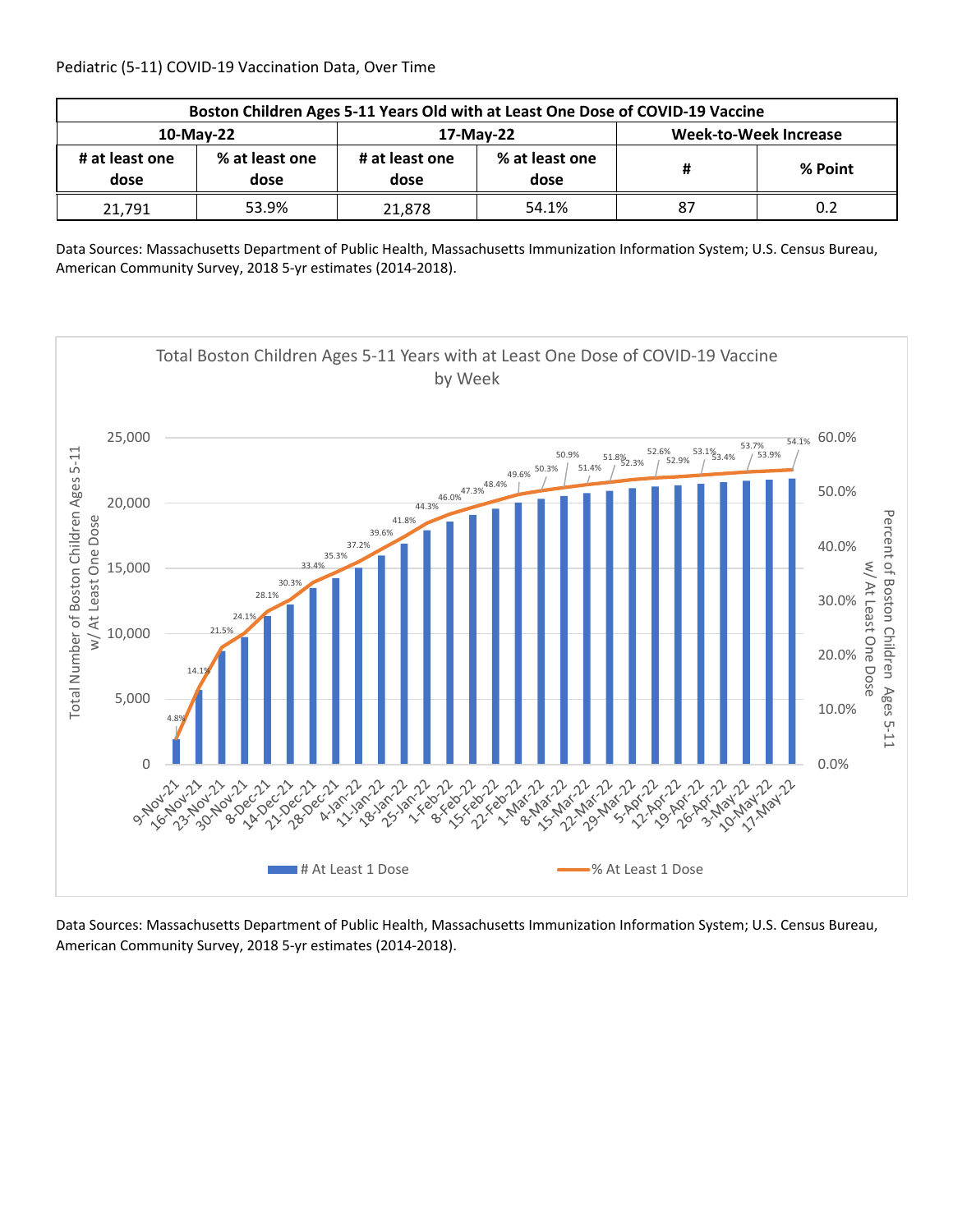| Boston Children Ages 5-11 Years Old with at Least One Dose of COVID-19 Vaccine |                        |                        |                        |                       |         |  |  |
|--------------------------------------------------------------------------------|------------------------|------------------------|------------------------|-----------------------|---------|--|--|
| 10-May-22                                                                      |                        |                        | 17-May-22              | Week-to-Week Increase |         |  |  |
| # at least one<br>dose                                                         | % at least one<br>dose | # at least one<br>dose | % at least one<br>dose | Ħ                     | % Point |  |  |
| 21,791                                                                         | 53.9%                  | 21.878                 | 54.1%                  | 87                    | 0.2     |  |  |

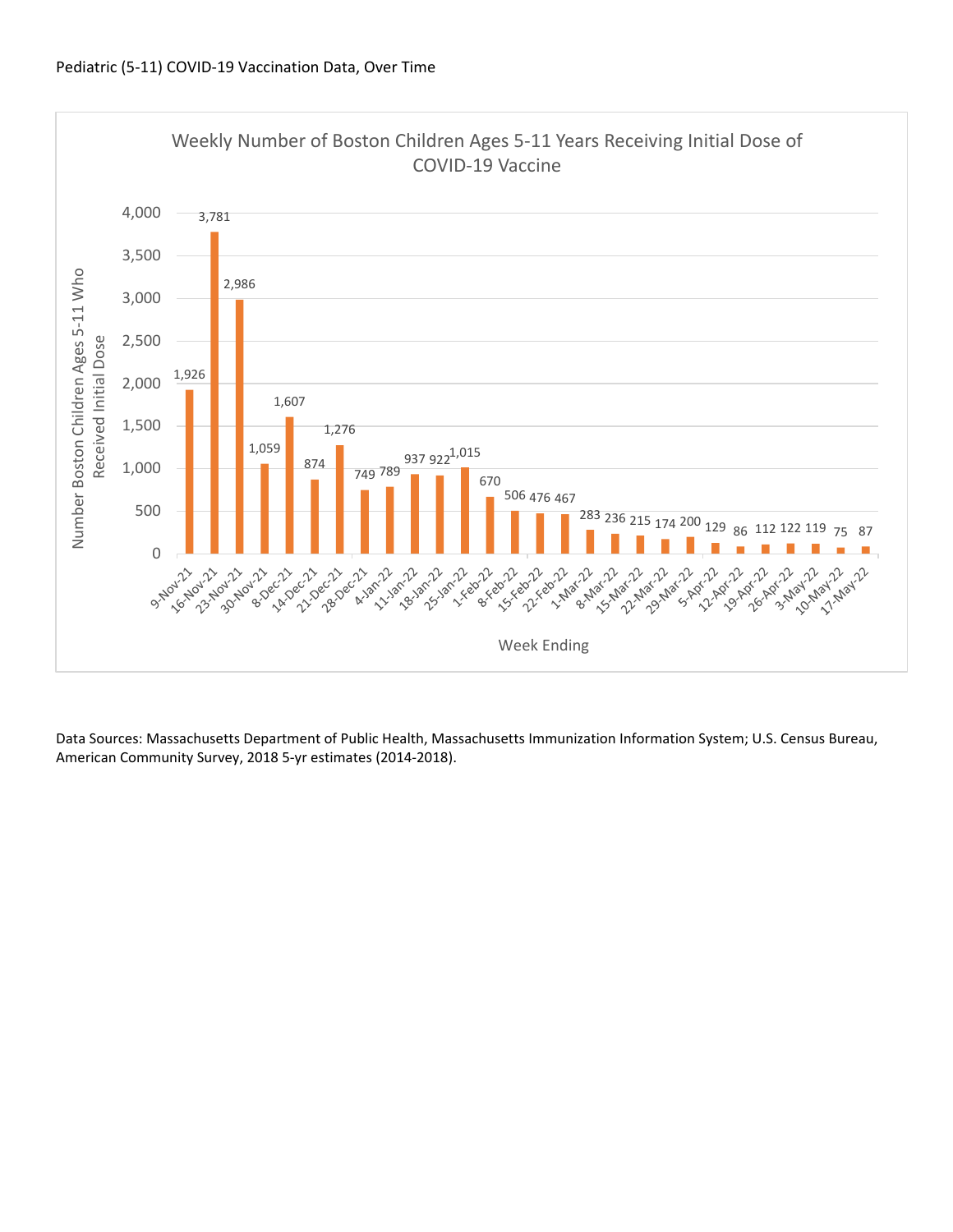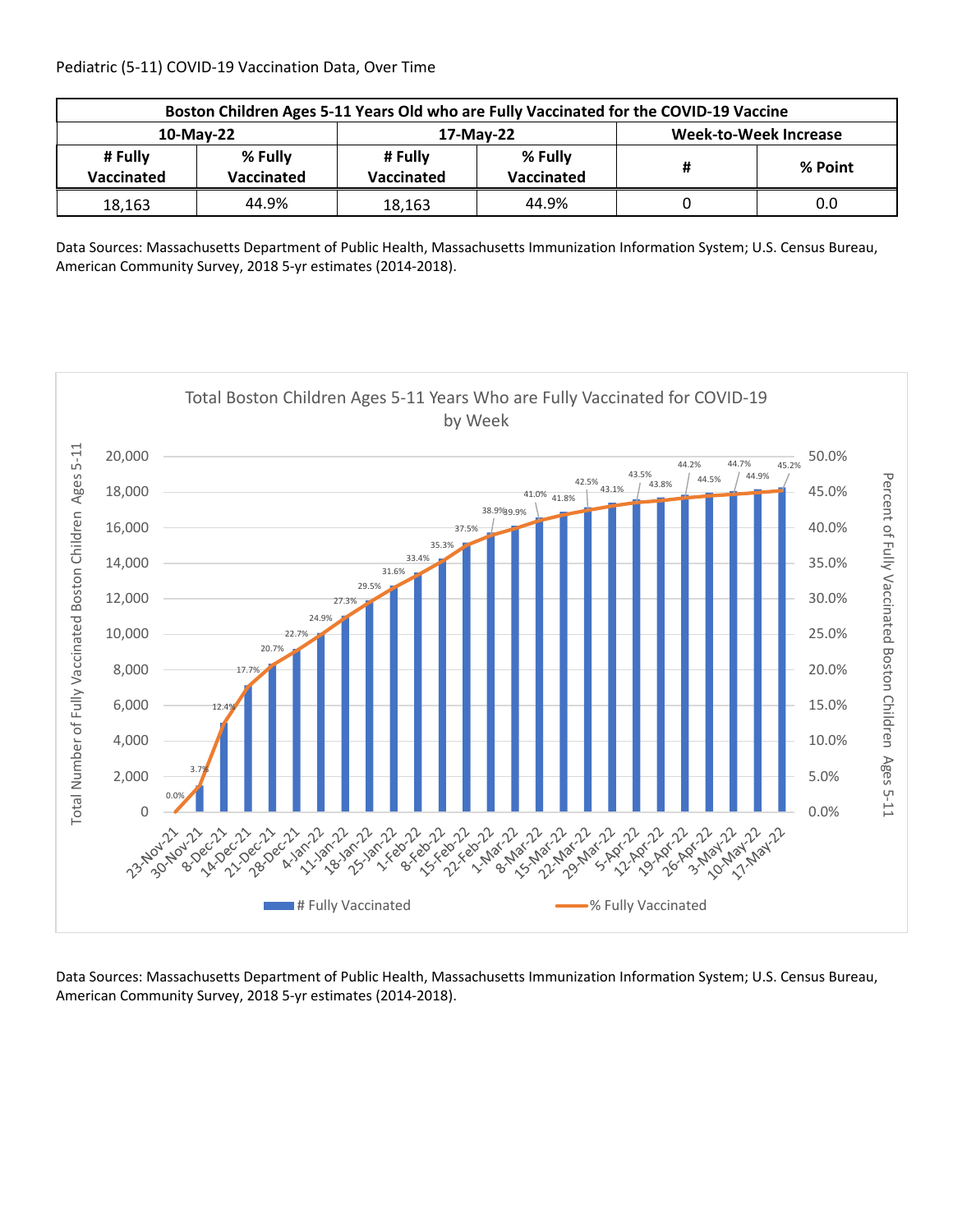| Boston Children Ages 5-11 Years Old who are Fully Vaccinated for the COVID-19 Vaccine |                       |                       |                       |                              |         |  |  |
|---------------------------------------------------------------------------------------|-----------------------|-----------------------|-----------------------|------------------------------|---------|--|--|
| 10-May-22                                                                             |                       |                       | 17-May-22             | <b>Week-to-Week Increase</b> |         |  |  |
| # Fully<br>Vaccinated                                                                 | % Fully<br>Vaccinated | # Fully<br>Vaccinated | % Fully<br>Vaccinated |                              | % Point |  |  |
| 18,163                                                                                | 44.9%                 | 18,163                | 44.9%                 |                              | 0.0     |  |  |

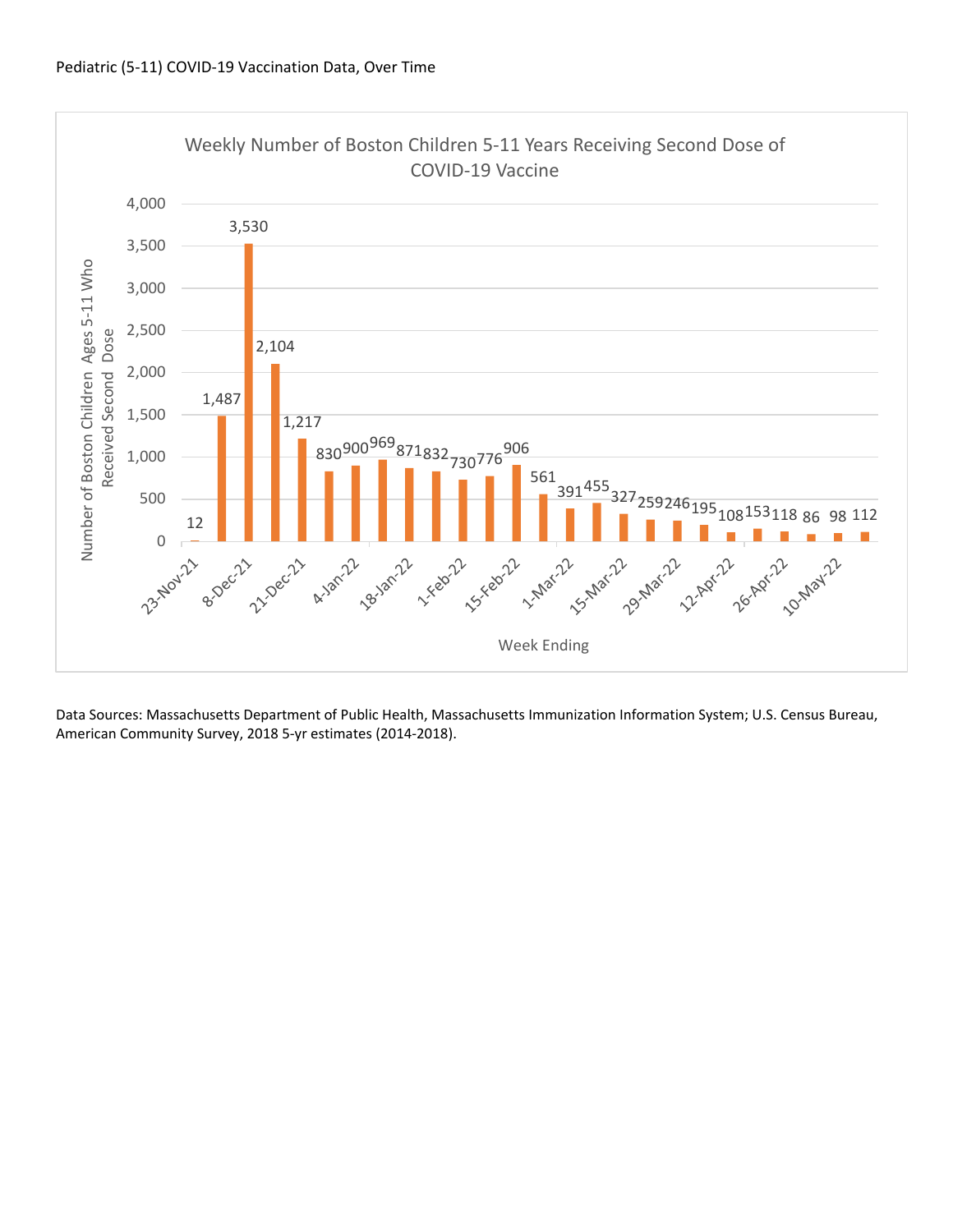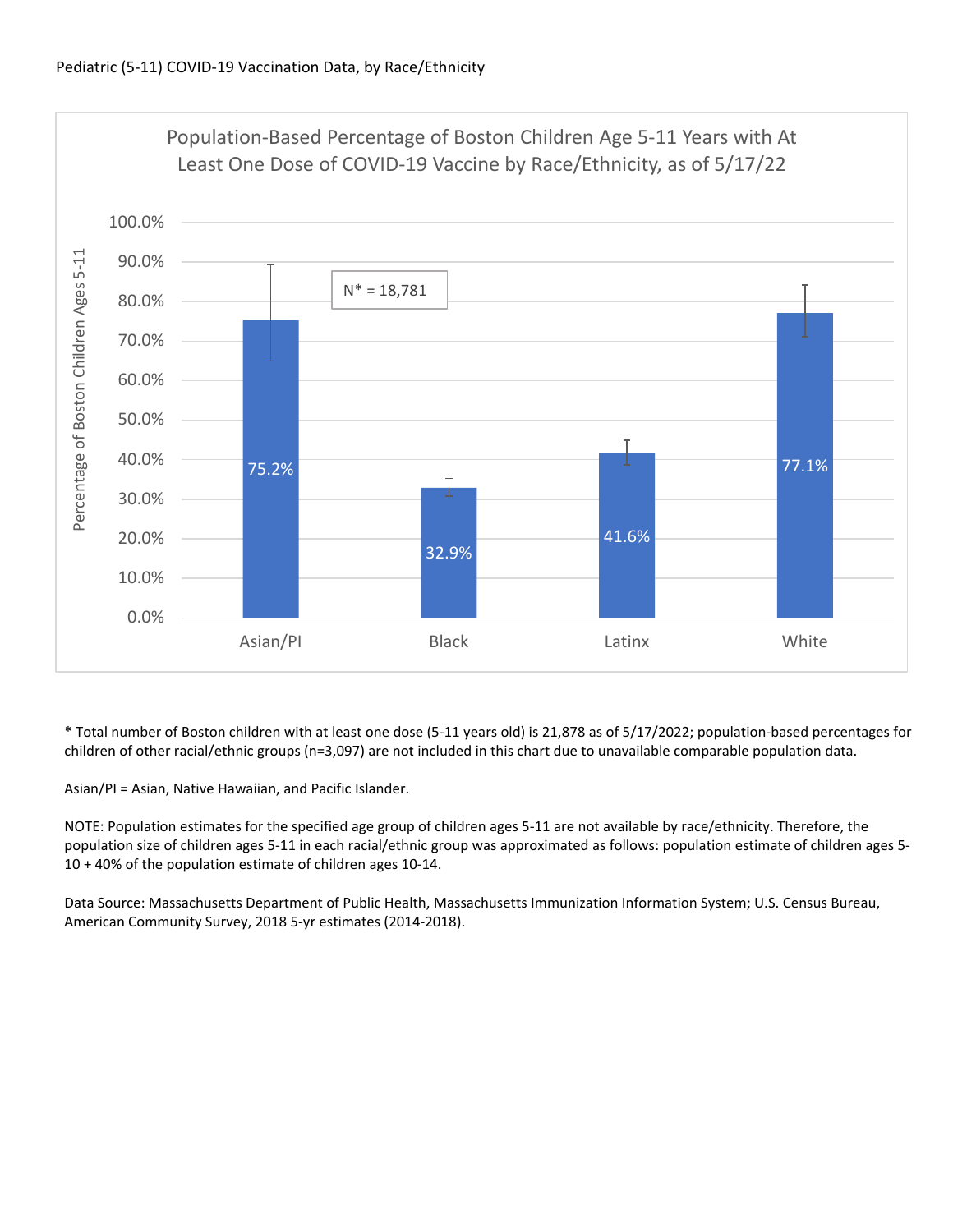

\* Total number of Boston children with at least one dose (5‐11 years old) is 21,878 as of 5/17/2022; population‐based percentages for children of other racial/ethnic groups (n=3,097) are not included in this chart due to unavailable comparable population data.

Asian/PI = Asian, Native Hawaiian, and Pacific Islander.

NOTE: Population estimates for the specified age group of children ages 5‐11 are not available by race/ethnicity. Therefore, the population size of children ages 5‐11 in each racial/ethnic group was approximated as follows: population estimate of children ages 5‐ 10 + 40% of the population estimate of children ages 10‐14.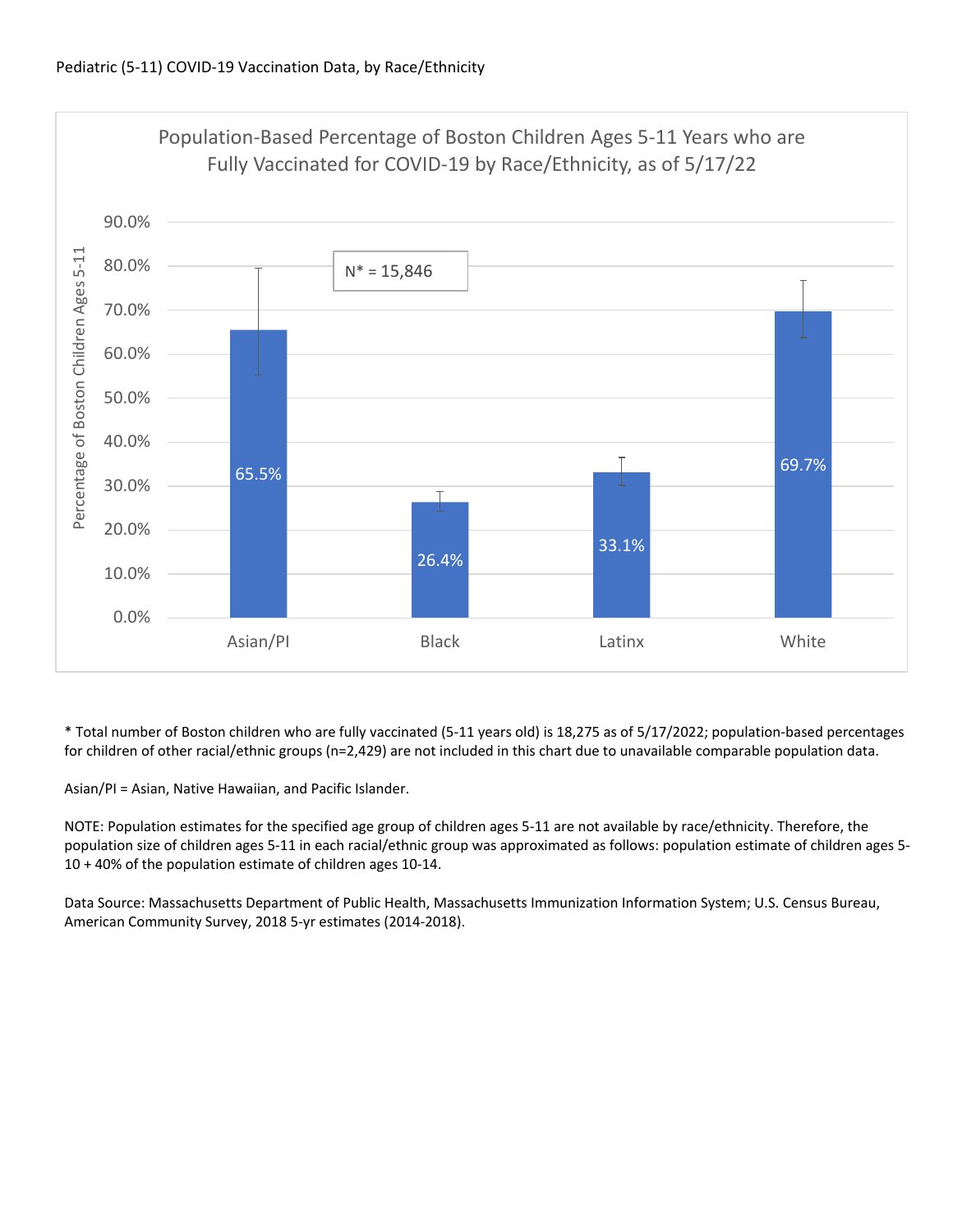

\* Total number of Boston children who are fully vaccinated (5‐11 years old) is 18,275 as of 5/17/2022; population‐based percentages for children of other racial/ethnic groups (n=2,429) are not included in this chart due to unavailable comparable population data.

Asian/PI = Asian, Native Hawaiian, and Pacific Islander.

NOTE: Population estimates for the specified age group of children ages 5‐11 are not available by race/ethnicity. Therefore, the population size of children ages 5‐11 in each racial/ethnic group was approximated as follows: population estimate of children ages 5‐ 10 + 40% of the population estimate of children ages 10‐14.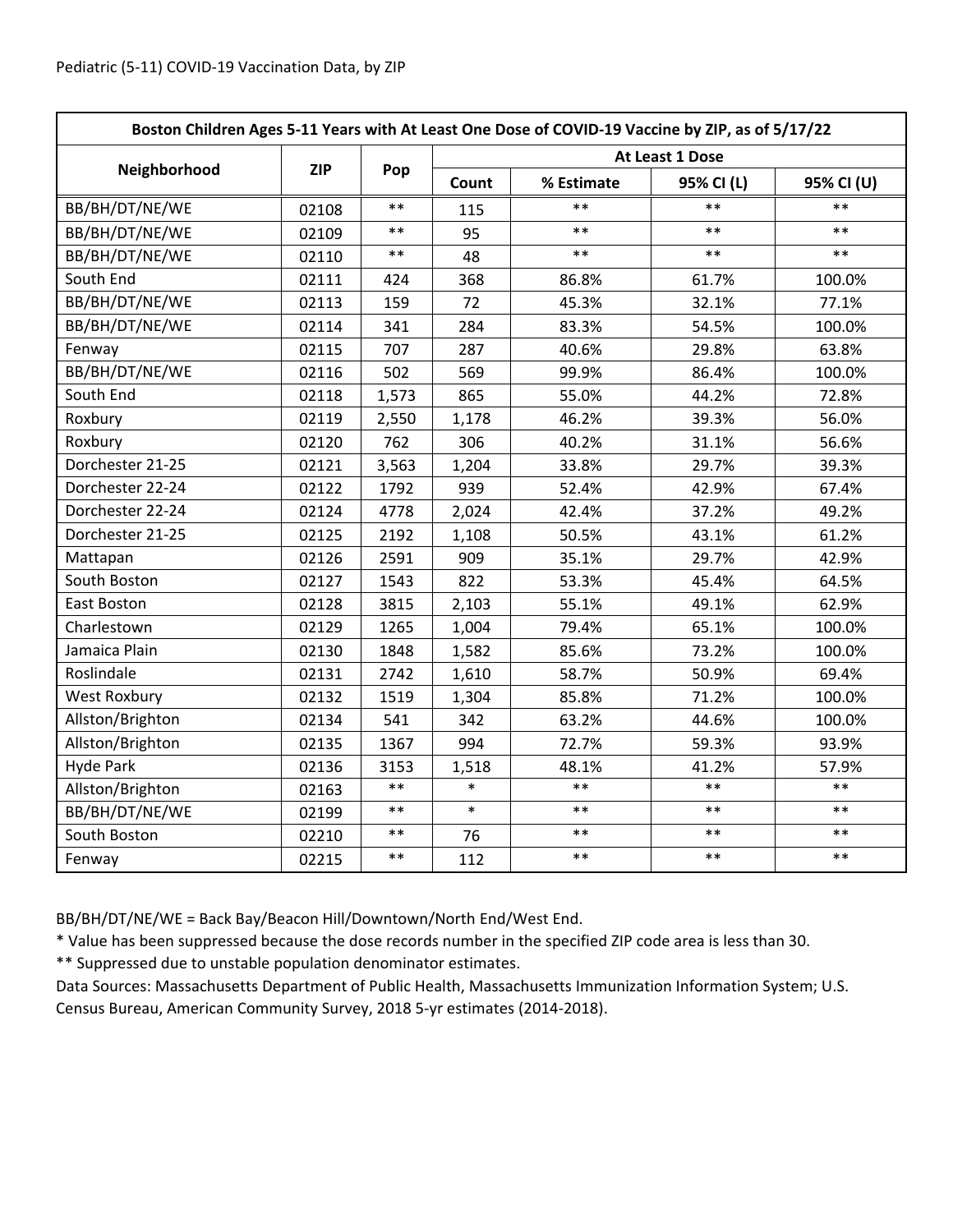| Boston Children Ages 5-11 Years with At Least One Dose of COVID-19 Vaccine by ZIP, as of 5/17/22 |            |            |                 |            |            |            |  |
|--------------------------------------------------------------------------------------------------|------------|------------|-----------------|------------|------------|------------|--|
|                                                                                                  | <b>ZIP</b> | Pop        | At Least 1 Dose |            |            |            |  |
| Neighborhood                                                                                     |            |            | Count           | % Estimate | 95% CI (L) | 95% CI (U) |  |
| BB/BH/DT/NE/WE                                                                                   | 02108      | $**$       | 115             | **         | $**$       | $**$       |  |
| BB/BH/DT/NE/WE                                                                                   | 02109      | $***$      | 95              | $***$      | $***$      | $***$      |  |
| BB/BH/DT/NE/WE                                                                                   | 02110      | $***$      | 48              | $***$      | $***$      | $***$      |  |
| South End                                                                                        | 02111      | 424        | 368             | 86.8%      | 61.7%      | 100.0%     |  |
| BB/BH/DT/NE/WE                                                                                   | 02113      | 159        | 72              | 45.3%      | 32.1%      | 77.1%      |  |
| BB/BH/DT/NE/WE                                                                                   | 02114      | 341        | 284             | 83.3%      | 54.5%      | 100.0%     |  |
| Fenway                                                                                           | 02115      | 707        | 287             | 40.6%      | 29.8%      | 63.8%      |  |
| BB/BH/DT/NE/WE                                                                                   | 02116      | 502        | 569             | 99.9%      | 86.4%      | 100.0%     |  |
| South End                                                                                        | 02118      | 1,573      | 865             | 55.0%      | 44.2%      | 72.8%      |  |
| Roxbury                                                                                          | 02119      | 2,550      | 1,178           | 46.2%      | 39.3%      | 56.0%      |  |
| Roxbury                                                                                          | 02120      | 762        | 306             | 40.2%      | 31.1%      | 56.6%      |  |
| Dorchester 21-25                                                                                 | 02121      | 3,563      | 1,204           | 33.8%      | 29.7%      | 39.3%      |  |
| Dorchester 22-24                                                                                 | 02122      | 1792       | 939             | 52.4%      | 42.9%      | 67.4%      |  |
| Dorchester 22-24                                                                                 | 02124      | 4778       | 2,024           | 42.4%      | 37.2%      | 49.2%      |  |
| Dorchester 21-25                                                                                 | 02125      | 2192       | 1,108           | 50.5%      | 43.1%      | 61.2%      |  |
| Mattapan                                                                                         | 02126      | 2591       | 909             | 35.1%      | 29.7%      | 42.9%      |  |
| South Boston                                                                                     | 02127      | 1543       | 822             | 53.3%      | 45.4%      | 64.5%      |  |
| East Boston                                                                                      | 02128      | 3815       | 2,103           | 55.1%      | 49.1%      | 62.9%      |  |
| Charlestown                                                                                      | 02129      | 1265       | 1,004           | 79.4%      | 65.1%      | 100.0%     |  |
| Jamaica Plain                                                                                    | 02130      | 1848       | 1,582           | 85.6%      | 73.2%      | 100.0%     |  |
| Roslindale                                                                                       | 02131      | 2742       | 1,610           | 58.7%      | 50.9%      | 69.4%      |  |
| <b>West Roxbury</b>                                                                              | 02132      | 1519       | 1,304           | 85.8%      | 71.2%      | 100.0%     |  |
| Allston/Brighton                                                                                 | 02134      | 541        | 342             | 63.2%      | 44.6%      | 100.0%     |  |
| Allston/Brighton                                                                                 | 02135      | 1367       | 994             | 72.7%      | 59.3%      | 93.9%      |  |
| <b>Hyde Park</b>                                                                                 | 02136      | 3153       | 1,518           | 48.1%      | 41.2%      | 57.9%      |  |
| Allston/Brighton                                                                                 | 02163      | $***$      | $\ast$          | $**$       | $**$       | $**$       |  |
| BB/BH/DT/NE/WE                                                                                   | 02199      | $***$      | $\ast$          | $**$       | $**$       | $**$       |  |
| South Boston                                                                                     | 02210      | $***$      | 76              | $***$      | $***$      | $***$      |  |
| Fenway                                                                                           | 02215      | $\ast\ast$ | 112             | $***$      | $***$      | $***$      |  |

BB/BH/DT/NE/WE = Back Bay/Beacon Hill/Downtown/North End/West End.

\* Value has been suppressed because the dose records number in the specified ZIP code area is less than 30.

\*\* Suppressed due to unstable population denominator estimates.